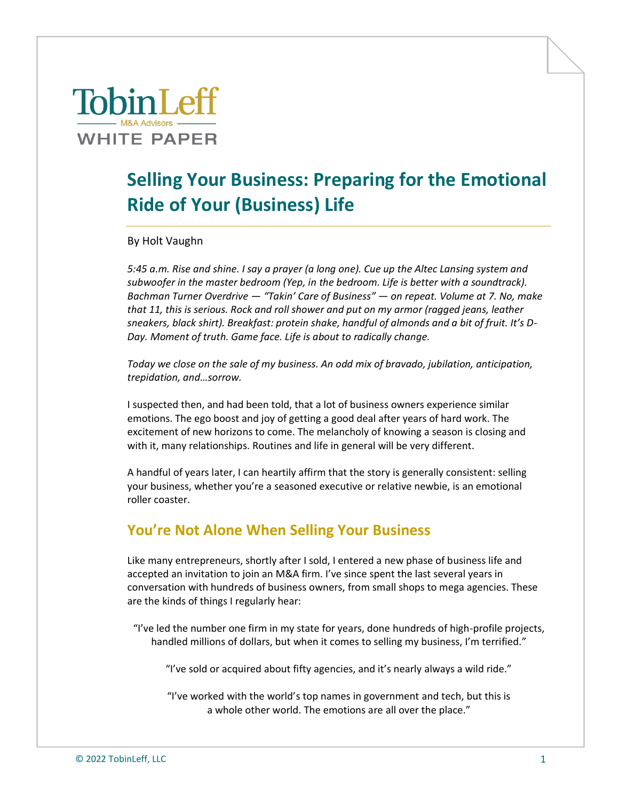# **TobinLeff WHITE PAPER**

## **Selling Your Business: Preparing for the Emotional Ride of Your (Business) Life**

By Holt Vaughn

*5:45 a.m. Rise and shine. I say a prayer (a long one). Cue up the Altec Lansing system and subwoofer in the master bedroom (Yep, in the bedroom. Life is better with a soundtrack). Bachman Turner Overdrive — "Takin' Care of Business" — on repeat. Volume at 7. No, make that 11, this is serious. Rock and roll shower and put on my armor (ragged jeans, leather sneakers, black shirt). Breakfast: protein shake, handful of almonds and a bit of fruit. It's D-Day. Moment of truth. Game face. Life is about to radically change.* 

*Today we close on the sale of my business. An odd mix of bravado, jubilation, anticipation, trepidation, and…sorrow.*

I suspected then, and had been told, that a lot of business owners experience similar emotions. The ego boost and joy of getting a good deal after years of hard work. The excitement of new horizons to come. The melancholy of knowing a season is closing and with it, many relationships. Routines and life in general will be very different.

A handful of years later, I can heartily affirm that the story is generally consistent: selling your business, whether you're a seasoned executive or relative newbie, is an emotional roller coaster.

#### **You're Not Alone When Selling Your Business**

Like many entrepreneurs, shortly after I sold, I entered a new phase of business life and accepted an invitation to join an M&A firm. I've since spent the last several years in conversation with hundreds of business owners, from small shops to mega agencies. These are the kinds of things I regularly hear:

"I've led the number one firm in my state for years, done hundreds of high-profile projects, handled millions of dollars, but when it comes to selling my business, I'm terrified."

"I've sold or acquired about fifty agencies, and it's nearly always a wild ride."

"I've worked with the world's top names in government and tech, but this is a whole other world. The emotions are all over the place."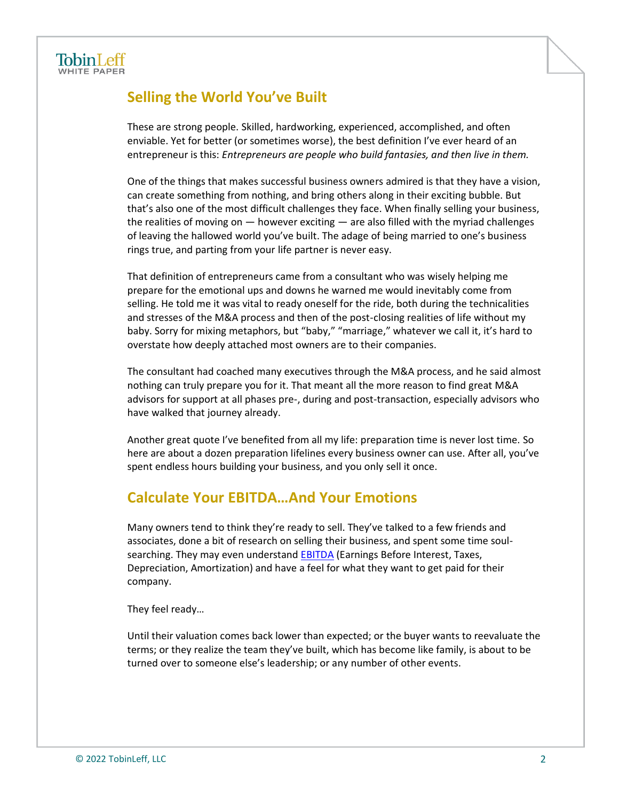### **Selling the World You've Built**

These are strong people. Skilled, hardworking, experienced, accomplished, and often enviable. Yet for better (or sometimes worse), the best definition I've ever heard of an entrepreneur is this: *Entrepreneurs are people who build fantasies, and then live in them.*

One of the things that makes successful business owners admired is that they have a vision, can create something from nothing, and bring others along in their exciting bubble. But that's also one of the most difficult challenges they face. When finally selling your business, the realities of moving on — however exciting — are also filled with the myriad challenges of leaving the hallowed world you've built. The adage of being married to one's business rings true, and parting from your life partner is never easy.

That definition of entrepreneurs came from a consultant who was wisely helping me prepare for the emotional ups and downs he warned me would inevitably come from selling. He told me it was vital to ready oneself for the ride, both during the technicalities and stresses of the M&A process and then of the post-closing realities of life without my baby. Sorry for mixing metaphors, but "baby," "marriage," whatever we call it, it's hard to overstate how deeply attached most owners are to their companies.

The consultant had coached many executives through the M&A process, and he said almost nothing can truly prepare you for it. That meant all the more reason to find great M&A advisors for support at all phases pre-, during and post-transaction, especially advisors who have walked that journey already.

Another great quote I've benefited from all my life: preparation time is never lost time. So here are about a dozen preparation lifelines every business owner can use. After all, you've spent endless hours building your business, and you only sell it once.

#### **Calculate Your EBITDA…And Your Emotions**

Many owners tend to think they're ready to sell. They've talked to a few friends and associates, done a bit of research on selling their business, and spent some time soulsearching. They may even understand **EBITDA** (Earnings Before Interest, Taxes, Depreciation, Amortization) and have a feel for what they want to get paid for their company.

They feel ready…

Until their valuation comes back lower than expected; or the buyer wants to reevaluate the terms; or they realize the team they've built, which has become like family, is about to be turned over to someone else's leadership; or any number of other events.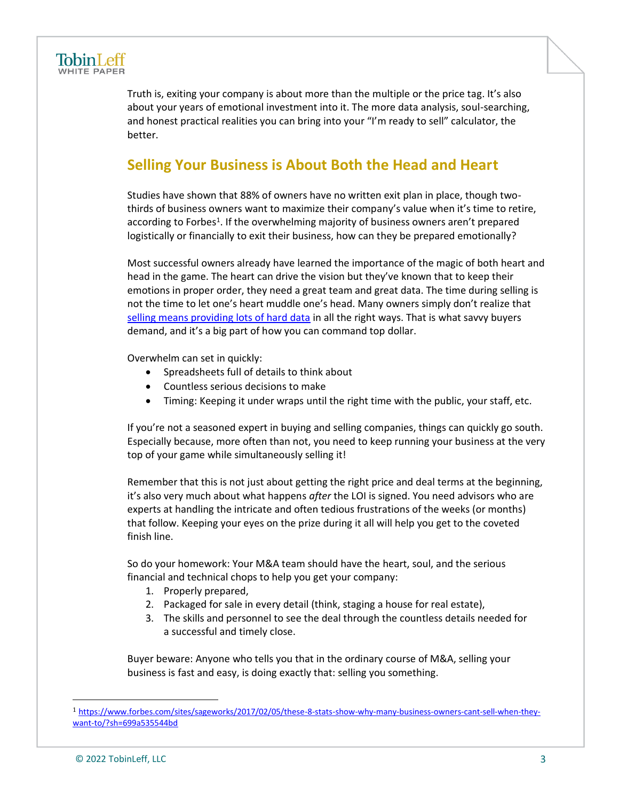

Truth is, exiting your company is about more than the multiple or the price tag. It's also about your years of emotional investment into it. The more data analysis, soul-searching, and honest practical realities you can bring into your "I'm ready to sell" calculator, the better.

#### **Selling Your Business is About Both the Head and Heart**

Studies have shown that 88% of owners have no written exit plan in place, though twothirds of business owners want to maximize their company's value when it's time to retire, according to Forbes<sup>1</sup>. If the overwhelming majority of business owners aren't prepared logistically or financially to exit their business, how can they be prepared emotionally?

Most successful owners already have learned the importance of the magic of both heart and head in the game. The heart can drive the vision but they've known that to keep their emotions in proper order, they need a great team and great data. The time during selling is not the time to let one's heart muddle one's head. Many owners simply don't realize that [selling means providing lots of hard data](https://tobinleff.com/articles/preparing-your-financial-statements-for-a-sale-of-your-company) in all the right ways. That is what savvy buyers demand, and it's a big part of how you can command top dollar.

Overwhelm can set in quickly:

- Spreadsheets full of details to think about
- Countless serious decisions to make
- Timing: Keeping it under wraps until the right time with the public, your staff, etc.

If you're not a seasoned expert in buying and selling companies, things can quickly go south. Especially because, more often than not, you need to keep running your business at the very top of your game while simultaneously selling it!

Remember that this is not just about getting the right price and deal terms at the beginning, it's also very much about what happens *after* the LOI is signed. You need advisors who are experts at handling the intricate and often tedious frustrations of the weeks (or months) that follow. Keeping your eyes on the prize during it all will help you get to the coveted finish line.

So do your homework: Your M&A team should have the heart, soul, and the serious financial and technical chops to help you get your company:

- 1. Properly prepared,
- 2. Packaged for sale in every detail (think, staging a house for real estate),
- 3. The skills and personnel to see the deal through the countless details needed for a successful and timely close.

Buyer beware: Anyone who tells you that in the ordinary course of M&A, selling your business is fast and easy, is doing exactly that: selling you something.

<sup>1</sup> [https://www.forbes.com/sites/sageworks/2017/02/05/these-8-stats-show-why-many-business-owners-cant-sell-when-they](https://www.forbes.com/sites/sageworks/2017/02/05/these-8-stats-show-why-many-business-owners-cant-sell-when-they-want-to/?sh=699a535544bd)[want-to/?sh=699a535544bd](https://www.forbes.com/sites/sageworks/2017/02/05/these-8-stats-show-why-many-business-owners-cant-sell-when-they-want-to/?sh=699a535544bd)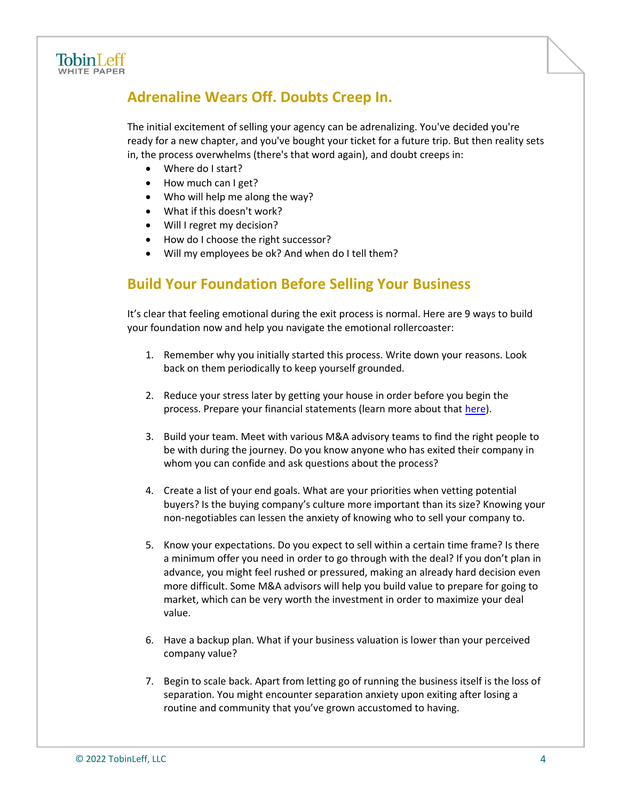

### **Adrenaline Wears Off. Doubts Creep In.**

The initial excitement of selling your agency can be adrenalizing. You've decided you're ready for a new chapter, and you've bought your ticket for a future trip. But then reality sets in, the process overwhelms (there's that word again), and doubt creeps in:

- Where do I start?
- How much can I get?
- Who will help me along the way?
- What if this doesn't work?
- Will I regret my decision?
- How do I choose the right successor?
- Will my employees be ok? And when do I tell them?

#### **Build Your Foundation Before Selling Your Business**

It's clear that feeling emotional during the exit process is normal. Here are 9 ways to build your foundation now and help you navigate the emotional rollercoaster:

- 1. Remember why you initially started this process. Write down your reasons. Look back on them periodically to keep yourself grounded.
- 2. Reduce your stress later by getting your house in order before you begin the process. Prepare your financial statements (learn more about that [here\)](https://tobinleff.com/articles/preparing-your-financial-statements-for-a-sale-of-your-company-part-ii-accuracy-and-adjustments).
- 3. Build your team. Meet with various M&A advisory teams to find the right people to be with during the journey. Do you know anyone who has exited their company in whom you can confide and ask questions about the process?
- 4. Create a list of your end goals. What are your priorities when vetting potential buyers? Is the buying company's culture more important than its size? Knowing your non-negotiables can lessen the anxiety of knowing who to sell your company to.
- 5. Know your expectations. Do you expect to sell within a certain time frame? Is there a minimum offer you need in order to go through with the deal? If you don't plan in advance, you might feel rushed or pressured, making an already hard decision even more difficult. Some M&A advisors will help you build value to prepare for going to market, which can be very worth the investment in order to maximize your deal value.
- 6. Have a backup plan. What if your business valuation is lower than your perceived company value?
- 7. Begin to scale back. Apart from letting go of running the business itself is the loss of separation. You might encounter separation anxiety upon exiting after losing a routine and community that you've grown accustomed to having.